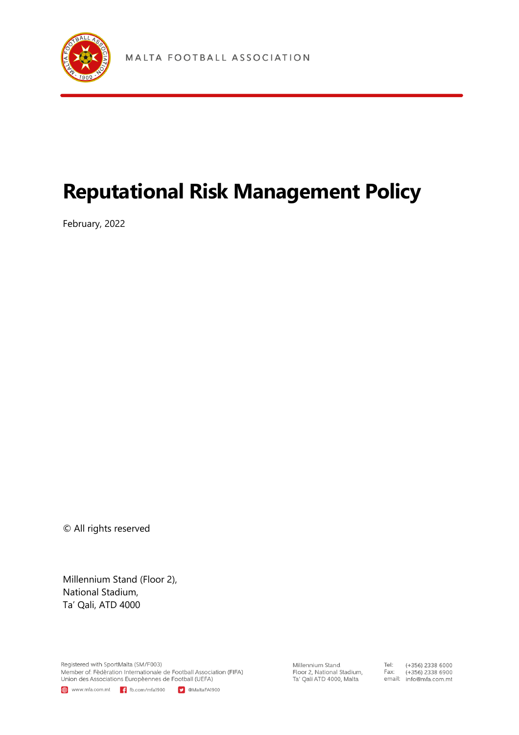

# **Reputational Risk Management Policy**

February, 2022

© All rights reserved

Millennium Stand (Floor 2), National Stadium, Ta' Qali, ATD 4000

Registered with SportMalta (SM/F003) Member of: Fèdèration Internationale de Football Association (FIFA) Union des Associations Europèennes de Football (UEFA)

www.mfa.com.mt | f fb.com/mfa1900 | MaltaFA1900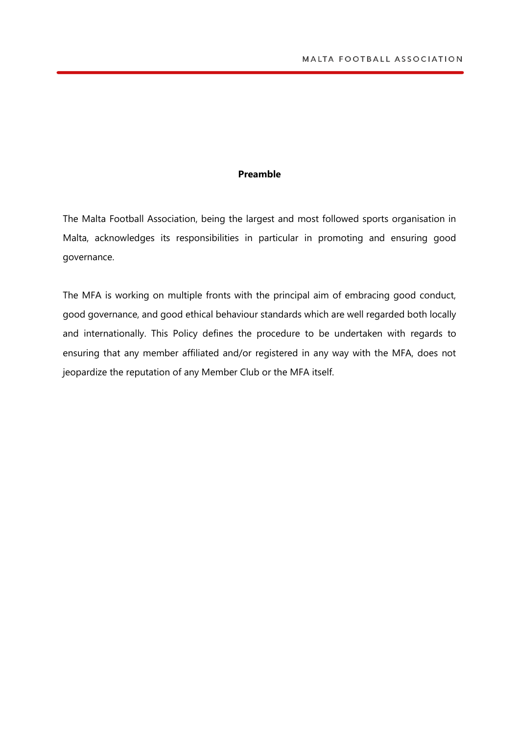#### **Preamble**

The Malta Football Association, being the largest and most followed sports organisation in Malta, acknowledges its responsibilities in particular in promoting and ensuring good governance.

The MFA is working on multiple fronts with the principal aim of embracing good conduct, good governance, and good ethical behaviour standards which are well regarded both locally and internationally. This Policy defines the procedure to be undertaken with regards to ensuring that any member affiliated and/or registered in any way with the MFA, does not jeopardize the reputation of any Member Club or the MFA itself.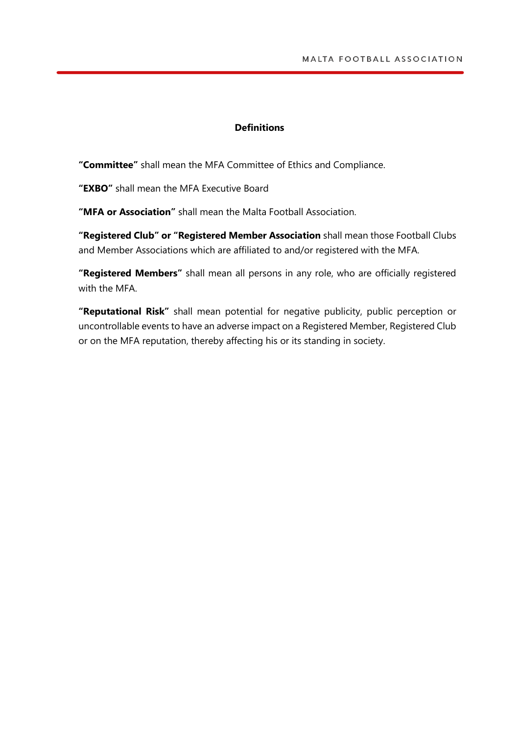### **Definitions**

**"Committee"** shall mean the MFA Committee of Ethics and Compliance.

**"EXBO"** shall mean the MFA Executive Board

**"MFA or Association"** shall mean the Malta Football Association.

**"Registered Club" or "Registered Member Association** shall mean those Football Clubs and Member Associations which are affiliated to and/or registered with the MFA.

**"Registered Members"** shall mean all persons in any role, who are officially registered with the MFA

**"Reputational Risk"** shall mean potential for negative publicity, public perception or uncontrollable events to have an adverse impact on a Registered Member, Registered Club or on the MFA reputation, thereby affecting his or its standing in society.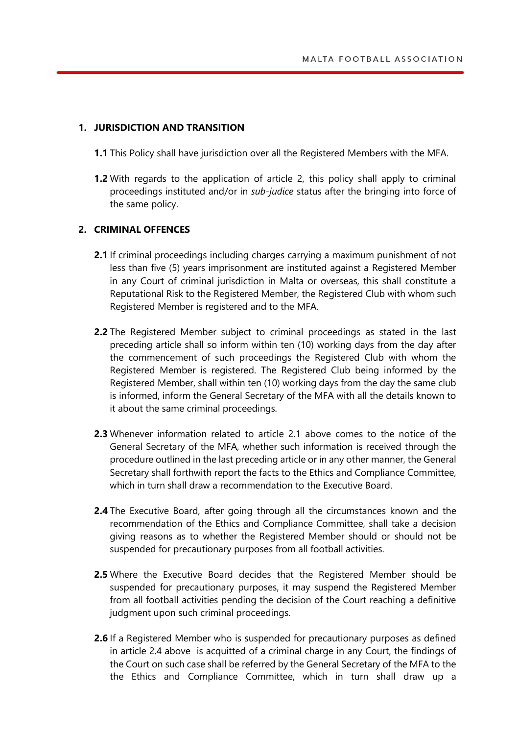# **1. JURISDICTION AND TRANSITION**

- **1.1** This Policy shall have jurisdiction over all the Registered Members with the MFA.
- **1.2** With regards to the application of article 2, this policy shall apply to criminal proceedings instituted and/or in *sub-judice* status after the bringing into force of the same policy.

## **2. CRIMINAL OFFENCES**

- **2.1** If criminal proceedings including charges carrying a maximum punishment of not less than five (5) years imprisonment are instituted against a Registered Member in any Court of criminal jurisdiction in Malta or overseas, this shall constitute a Reputational Risk to the Registered Member, the Registered Club with whom such Registered Member is registered and to the MFA.
- **2.2** The Registered Member subject to criminal proceedings as stated in the last preceding article shall so inform within ten (10) working days from the day after the commencement of such proceedings the Registered Club with whom the Registered Member is registered. The Registered Club being informed by the Registered Member, shall within ten (10) working days from the day the same club is informed, inform the General Secretary of the MFA with all the details known to it about the same criminal proceedings.
- **2.3** Whenever information related to article 2.1 above comes to the notice of the General Secretary of the MFA, whether such information is received through the procedure outlined in the last preceding article or in any other manner, the General Secretary shall forthwith report the facts to the Ethics and Compliance Committee, which in turn shall draw a recommendation to the Executive Board.
- **2.4** The Executive Board, after going through all the circumstances known and the recommendation of the Ethics and Compliance Committee, shall take a decision giving reasons as to whether the Registered Member should or should not be suspended for precautionary purposes from all football activities.
- **2.5** Where the Executive Board decides that the Registered Member should be suspended for precautionary purposes, it may suspend the Registered Member from all football activities pending the decision of the Court reaching a definitive judgment upon such criminal proceedings.
- **2.6** If a Registered Member who is suspended for precautionary purposes as defined in article 2.4 above is acquitted of a criminal charge in any Court, the findings of the Court on such case shall be referred by the General Secretary of the MFA to the the Ethics and Compliance Committee, which in turn shall draw up a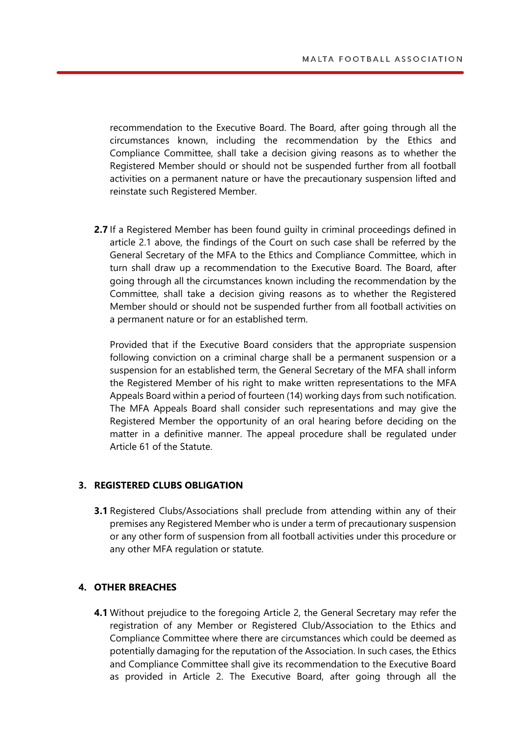recommendation to the Executive Board. The Board, after going through all the circumstances known, including the recommendation by the Ethics and Compliance Committee, shall take a decision giving reasons as to whether the Registered Member should or should not be suspended further from all football activities on a permanent nature or have the precautionary suspension lifted and reinstate such Registered Member.

**2.7** If a Registered Member has been found guilty in criminal proceedings defined in article 2.1 above, the findings of the Court on such case shall be referred by the General Secretary of the MFA to the Ethics and Compliance Committee, which in turn shall draw up a recommendation to the Executive Board. The Board, after going through all the circumstances known including the recommendation by the Committee, shall take a decision giving reasons as to whether the Registered Member should or should not be suspended further from all football activities on a permanent nature or for an established term.

Provided that if the Executive Board considers that the appropriate suspension following conviction on a criminal charge shall be a permanent suspension or a suspension for an established term, the General Secretary of the MFA shall inform the Registered Member of his right to make written representations to the MFA Appeals Board within a period of fourteen (14) working days from such notification. The MFA Appeals Board shall consider such representations and may give the Registered Member the opportunity of an oral hearing before deciding on the matter in a definitive manner. The appeal procedure shall be regulated under Article 61 of the Statute.

#### **3. REGISTERED CLUBS OBLIGATION**

**3.1** Registered Clubs/Associations shall preclude from attending within any of their premises any Registered Member who is under a term of precautionary suspension or any other form of suspension from all football activities under this procedure or any other MFA regulation or statute.

# **4. OTHER BREACHES**

**4.1** Without prejudice to the foregoing Article 2, the General Secretary may refer the registration of any Member or Registered Club/Association to the Ethics and Compliance Committee where there are circumstances which could be deemed as potentially damaging for the reputation of the Association. In such cases, the Ethics and Compliance Committee shall give its recommendation to the Executive Board as provided in Article 2. The Executive Board, after going through all the